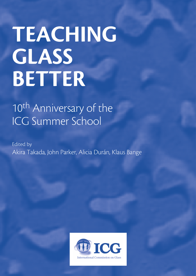## TEACHING **GLASS** BETTER

## 10<sup>th</sup> Anniversary of the ICG Summer School

**Edited by** Akira Takada, John Parker, Alicia Durán, Klaus Bange

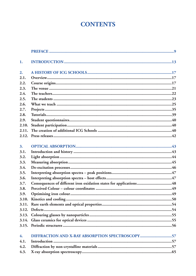## **CONTENTS**

| 1.    |                                                                    |
|-------|--------------------------------------------------------------------|
| 2.    |                                                                    |
| 2.1.  |                                                                    |
| 2.2.  |                                                                    |
| 2.3.  |                                                                    |
| 2.4.  |                                                                    |
| 2.5.  |                                                                    |
| 2.6.  |                                                                    |
| 2.7.  |                                                                    |
| 2.8.  |                                                                    |
| 2.9.  |                                                                    |
| 2.10. |                                                                    |
| 2.11. |                                                                    |
| 2.12. |                                                                    |
|       |                                                                    |
| 3.    |                                                                    |
| 3.1.  |                                                                    |
| 3.2.  |                                                                    |
| 3.3.  |                                                                    |
| 3.4.  |                                                                    |
| 3.5.  |                                                                    |
| 3.6.  |                                                                    |
| 3.7.  | Consequences of different iron oxidation states for applications48 |
| 3.8.  |                                                                    |
| 3.9.  |                                                                    |
| 3.10. |                                                                    |
| 3.11. |                                                                    |
| 3.12. |                                                                    |
| 3.13. |                                                                    |
| 3.14. |                                                                    |
| 3.15. |                                                                    |
| 4.    | DIFFRACTION AND X-RAY ABSORPTION SPECTROSCOPY57                    |
| 4.1.  |                                                                    |
| 4.2.  |                                                                    |
| 4.3.  |                                                                    |
|       |                                                                    |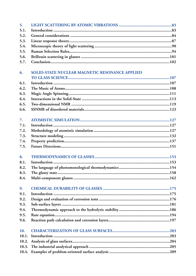| 5.    |                                                       |
|-------|-------------------------------------------------------|
| 5.1.  |                                                       |
| 5.2.  |                                                       |
| 5.3.  |                                                       |
| 5.4.  |                                                       |
| 5.5.  |                                                       |
| 5.6.  |                                                       |
| 5.7.  |                                                       |
|       |                                                       |
| 6.    | <b>SOLID-STATE NUCLEAR MAGNETIC RESONANCE APPLIED</b> |
|       |                                                       |
| 6.1.  |                                                       |
| 6.2.  |                                                       |
| 6.3.  |                                                       |
| 6.4.  |                                                       |
| 6.5.  |                                                       |
| 6.6.  |                                                       |
|       |                                                       |
| 7.    |                                                       |
| 7.1.  |                                                       |
| 7.2.  |                                                       |
| 7.3.  |                                                       |
| 7.4.  |                                                       |
| 7.5.  |                                                       |
|       |                                                       |
| 8.    |                                                       |
| 8.1.  |                                                       |
| 8.2.  |                                                       |
| 8.3.  |                                                       |
| 8.4.  |                                                       |
|       |                                                       |
| 9.    |                                                       |
| 9.1.  |                                                       |
| 9.2.  |                                                       |
| 9.3.  |                                                       |
| 9.4.  |                                                       |
| 9.5.  |                                                       |
| 9.6.  |                                                       |
|       |                                                       |
| 10.   |                                                       |
| 10.1. |                                                       |
| 10.2. |                                                       |
| 10.3. |                                                       |
|       |                                                       |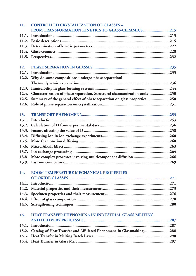| 11.   | <b>CONTROLLED CRYSTALLIZATION OF GLASSES -</b>                                    |
|-------|-----------------------------------------------------------------------------------|
|       | FROM TRANSFORMATION KINETICS TO GLASS-CERAMICS 215                                |
| 11.1. |                                                                                   |
|       |                                                                                   |
| 11.3. |                                                                                   |
|       |                                                                                   |
|       |                                                                                   |
| 12.   |                                                                                   |
|       |                                                                                   |
|       | 12.2. Why do some compositions undergo phase separation?                          |
|       |                                                                                   |
| 12.3. |                                                                                   |
|       | 12.4. Characterization of phase separation. Structural characterization tools 250 |
|       | 12.5. Summary of the general effect of phase separation on glass properties250    |
|       |                                                                                   |
|       |                                                                                   |
| 13.   |                                                                                   |
| 13.1. |                                                                                   |
|       |                                                                                   |
|       |                                                                                   |
| 13.4. |                                                                                   |
| 13.5. |                                                                                   |
| 13.6. |                                                                                   |
| 13.7. |                                                                                   |
| 13.8  | More complex processes involving multicomponent diffusion 266                     |
|       |                                                                                   |
| 14.   | ROOM TEMPERATURE MECHANICAL PROPERTIES                                            |
|       |                                                                                   |
| 14.1. |                                                                                   |
|       |                                                                                   |
|       |                                                                                   |
|       |                                                                                   |
|       |                                                                                   |
| 15.   | HEAT TRANSFER PHENOMENA IN INDUSTRIAL GLASS MELTING                               |
|       |                                                                                   |
|       |                                                                                   |
|       | 15.2. Catalog of Heat Transfer and Affiliated Phenomena in Glassmaking 288        |
| 15.3. |                                                                                   |
|       |                                                                                   |